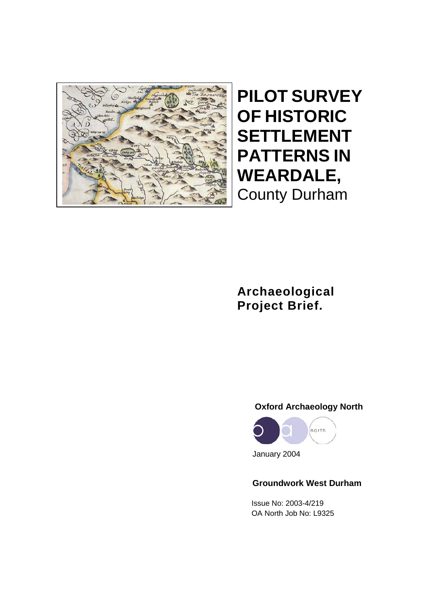

**PILOT SURVEY OF HISTORIC SETTLEMENT PATTERNS IN WEARDALE,** County Durham

**Archaeological Project Brief.**

# **Oxford Archaeology North**



January 2004

# **Groundwork West Durham**

 Issue No: 2003-4/219 OA North Job No: L9325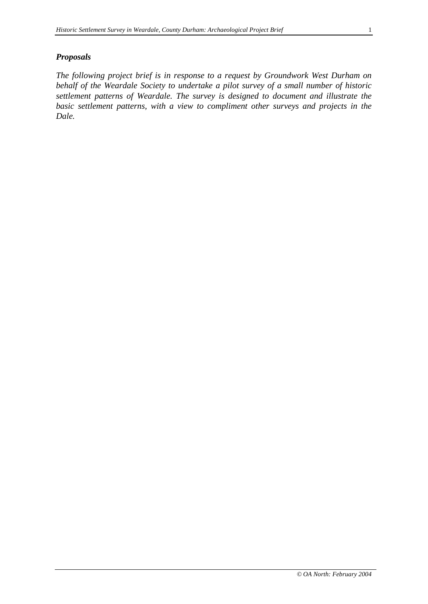#### *Proposals*

*The following project brief is in response to a request by Groundwork West Durham on behalf of the Weardale Society to undertake a pilot survey of a small number of historic settlement patterns of Weardale. The survey is designed to document and illustrate the basic settlement patterns, with a view to compliment other surveys and projects in the Dale.*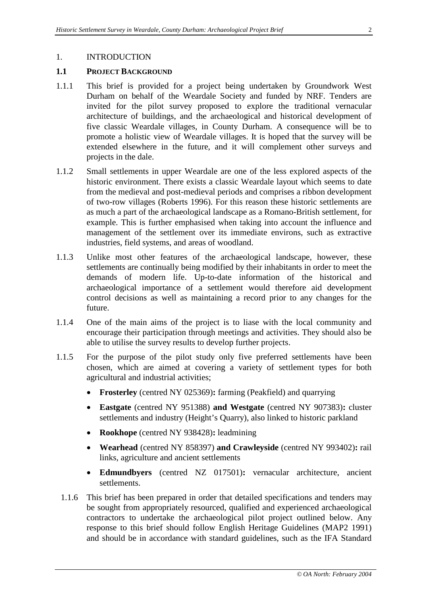### **1.1 PROJECT BACKGROUND**

- 1.1.1 This brief is provided for a project being undertaken by Groundwork West Durham on behalf of the Weardale Society and funded by NRF. Tenders are invited for the pilot survey proposed to explore the traditional vernacular architecture of buildings, and the archaeological and historical development of five classic Weardale villages, in County Durham. A consequence will be to promote a holistic view of Weardale villages. It is hoped that the survey will be extended elsewhere in the future, and it will complement other surveys and projects in the dale.
- 1.1.2 Small settlements in upper Weardale are one of the less explored aspects of the historic environment. There exists a classic Weardale layout which seems to date from the medieval and post-medieval periods and comprises a ribbon development of two-row villages (Roberts 1996). For this reason these historic settlements are as much a part of the archaeological landscape as a Romano-British settlement, for example. This is further emphasised when taking into account the influence and management of the settlement over its immediate environs, such as extractive industries, field systems, and areas of woodland.
- 1.1.3 Unlike most other features of the archaeological landscape, however, these settlements are continually being modified by their inhabitants in order to meet the demands of modern life. Up-to-date information of the historical and archaeological importance of a settlement would therefore aid development control decisions as well as maintaining a record prior to any changes for the future.
- 1.1.4 One of the main aims of the project is to liase with the local community and encourage their participation through meetings and activities. They should also be able to utilise the survey results to develop further projects.
- 1.1.5 For the purpose of the pilot study only five preferred settlements have been chosen, which are aimed at covering a variety of settlement types for both agricultural and industrial activities;
	- **Frosterley** (centred NY 025369)**:** farming (Peakfield) and quarrying
	- **Eastgate** (centred NY 951388) **and Westgate** (centred NY 907383)**:** cluster settlements and industry (Height's Quarry), also linked to historic parkland
	- **Rookhope** (centred NY 938428)**:** leadmining
	- **Wearhead** (centred NY 858397) **and Crawleyside** (centred NY 993402)**:** rail links, agriculture and ancient settlements
	- **Edmundbyers** (centred NZ 017501)**:** vernacular architecture, ancient settlements.
	- 1.1.6 This brief has been prepared in order that detailed specifications and tenders may be sought from appropriately resourced, qualified and experienced archaeological contractors to undertake the archaeological pilot project outlined below. Any response to this brief should follow English Heritage Guidelines (MAP2 1991) and should be in accordance with standard guidelines, such as the IFA Standard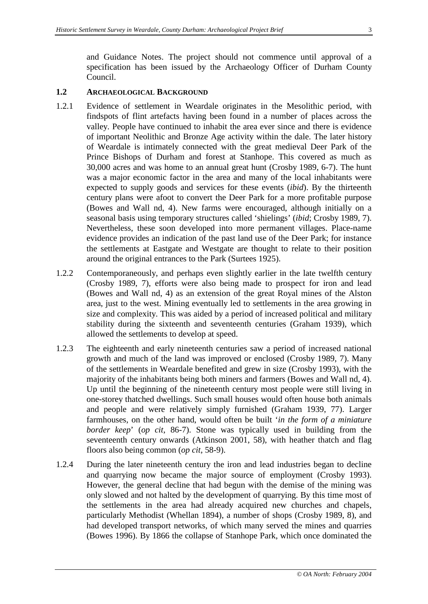and Guidance Notes. The project should not commence until approval of a specification has been issued by the Archaeology Officer of Durham County Council.

### **1.2 ARCHAEOLOGICAL BACKGROUND**

- 1.2.1 Evidence of settlement in Weardale originates in the Mesolithic period, with findspots of flint artefacts having been found in a number of places across the valley. People have continued to inhabit the area ever since and there is evidence of important Neolithic and Bronze Age activity within the dale. The later history of Weardale is intimately connected with the great medieval Deer Park of the Prince Bishops of Durham and forest at Stanhope. This covered as much as 30,000 acres and was home to an annual great hunt (Crosby 1989, 6-7). The hunt was a major economic factor in the area and many of the local inhabitants were expected to supply goods and services for these events (*ibid*). By the thirteenth century plans were afoot to convert the Deer Park for a more profitable purpose (Bowes and Wall nd, 4). New farms were encouraged, although initially on a seasonal basis using temporary structures called 'shielings' (*ibid*; Crosby 1989, 7). Nevertheless, these soon developed into more permanent villages. Place-name evidence provides an indication of the past land use of the Deer Park; for instance the settlements at Eastgate and Westgate are thought to relate to their position around the original entrances to the Park (Surtees 1925).
- 1.2.2 Contemporaneously, and perhaps even slightly earlier in the late twelfth century (Crosby 1989, 7), efforts were also being made to prospect for iron and lead (Bowes and Wall nd, 4) as an extension of the great Royal mines of the Alston area, just to the west. Mining eventually led to settlements in the area growing in size and complexity. This was aided by a period of increased political and military stability during the sixteenth and seventeenth centuries (Graham 1939), which allowed the settlements to develop at speed.
- 1.2.3 The eighteenth and early nineteenth centuries saw a period of increased national growth and much of the land was improved or enclosed (Crosby 1989, 7). Many of the settlements in Weardale benefited and grew in size (Crosby 1993), with the majority of the inhabitants being both miners and farmers (Bowes and Wall nd, 4). Up until the beginning of the nineteenth century most people were still living in one-storey thatched dwellings. Such small houses would often house both animals and people and were relatively simply furnished (Graham 1939, 77). Larger farmhouses, on the other hand, would often be built '*in the form of a miniature border keep*' (*op cit*, 86-7). Stone was typically used in building from the seventeenth century onwards (Atkinson 2001, 58), with heather thatch and flag floors also being common (*op cit*, 58-9).
- 1.2.4 During the later nineteenth century the iron and lead industries began to decline and quarrying now became the major source of employment (Crosby 1993). However, the general decline that had begun with the demise of the mining was only slowed and not halted by the development of quarrying. By this time most of the settlements in the area had already acquired new churches and chapels, particularly Methodist (Whellan 1894), a number of shops (Crosby 1989, 8), and had developed transport networks, of which many served the mines and quarries (Bowes 1996). By 1866 the collapse of Stanhope Park, which once dominated the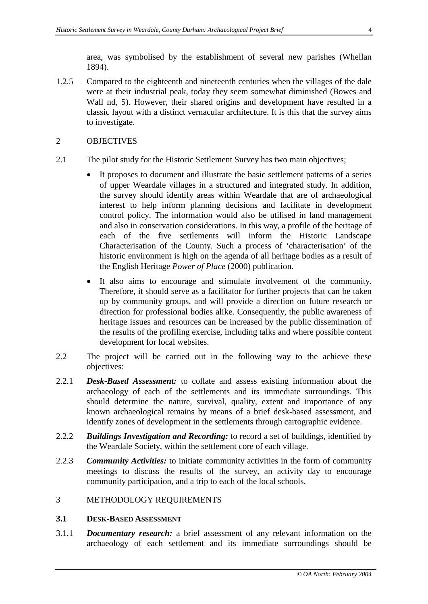area, was symbolised by the establishment of several new parishes (Whellan 1894).

1.2.5 Compared to the eighteenth and nineteenth centuries when the villages of the dale were at their industrial peak, today they seem somewhat diminished (Bowes and Wall nd, 5). However, their shared origins and development have resulted in a classic layout with a distinct vernacular architecture. It is this that the survey aims to investigate.

### 2 OBJECTIVES

- 2.1 The pilot study for the Historic Settlement Survey has two main objectives;
	- It proposes to document and illustrate the basic settlement patterns of a series of upper Weardale villages in a structured and integrated study. In addition, the survey should identify areas within Weardale that are of archaeological interest to help inform planning decisions and facilitate in development control policy. The information would also be utilised in land management and also in conservation considerations. In this way, a profile of the heritage of each of the five settlements will inform the Historic Landscape Characterisation of the County. Such a process of 'characterisation' of the historic environment is high on the agenda of all heritage bodies as a result of the English Heritage *Power of Place* (2000) publication.
	- It also aims to encourage and stimulate involvement of the community. Therefore, it should serve as a facilitator for further projects that can be taken up by community groups, and will provide a direction on future research or direction for professional bodies alike. Consequently, the public awareness of heritage issues and resources can be increased by the public dissemination of the results of the profiling exercise, including talks and where possible content development for local websites.
- 2.2 The project will be carried out in the following way to the achieve these objectives:
- 2.2.1 *Desk-Based Assessment:* to collate and assess existing information about the archaeology of each of the settlements and its immediate surroundings. This should determine the nature, survival, quality, extent and importance of any known archaeological remains by means of a brief desk-based assessment, and identify zones of development in the settlements through cartographic evidence.
- 2.2.2 *Buildings Investigation and Recording:* to record a set of buildings, identified by the Weardale Society, within the settlement core of each village.
- 2.2.3 *Community Activities:* to initiate community activities in the form of community meetings to discuss the results of the survey, an activity day to encourage community participation, and a trip to each of the local schools.

### 3 METHODOLOGY REQUIREMENTS

### **3.1 DESK-BASED ASSESSMENT**

3.1.1 *Documentary research:* a brief assessment of any relevant information on the archaeology of each settlement and its immediate surroundings should be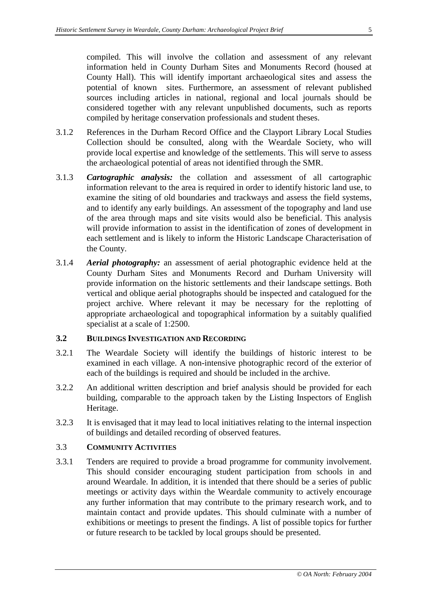compiled. This will involve the collation and assessment of any relevant information held in County Durham Sites and Monuments Record (housed at County Hall). This will identify important archaeological sites and assess the potential of known sites. Furthermore, an assessment of relevant published sources including articles in national, regional and local journals should be considered together with any relevant unpublished documents, such as reports compiled by heritage conservation professionals and student theses.

- 3.1.2 References in the Durham Record Office and the Clayport Library Local Studies Collection should be consulted, along with the Weardale Society, who will provide local expertise and knowledge of the settlements. This will serve to assess the archaeological potential of areas not identified through the SMR.
- 3.1.3 *Cartographic analysis:* the collation and assessment of all cartographic information relevant to the area is required in order to identify historic land use, to examine the siting of old boundaries and trackways and assess the field systems, and to identify any early buildings. An assessment of the topography and land use of the area through maps and site visits would also be beneficial. This analysis will provide information to assist in the identification of zones of development in each settlement and is likely to inform the Historic Landscape Characterisation of the County.
- 3.1.4 *Aerial photography:* an assessment of aerial photographic evidence held at the County Durham Sites and Monuments Record and Durham University will provide information on the historic settlements and their landscape settings. Both vertical and oblique aerial photographs should be inspected and catalogued for the project archive. Where relevant it may be necessary for the replotting of appropriate archaeological and topographical information by a suitably qualified specialist at a scale of 1:2500.

### **3.2 BUILDINGS INVESTIGATION AND RECORDING**

- 3.2.1 The Weardale Society will identify the buildings of historic interest to be examined in each village. A non-intensive photographic record of the exterior of each of the buildings is required and should be included in the archive.
- 3.2.2 An additional written description and brief analysis should be provided for each building, comparable to the approach taken by the Listing Inspectors of English Heritage.
- 3.2.3 It is envisaged that it may lead to local initiatives relating to the internal inspection of buildings and detailed recording of observed features.

### 3.3 **COMMUNITY ACTIVITIES**

3.3.1 Tenders are required to provide a broad programme for community involvement. This should consider encouraging student participation from schools in and around Weardale. In addition, it is intended that there should be a series of public meetings or activity days within the Weardale community to actively encourage any further information that may contribute to the primary research work, and to maintain contact and provide updates. This should culminate with a number of exhibitions or meetings to present the findings. A list of possible topics for further or future research to be tackled by local groups should be presented.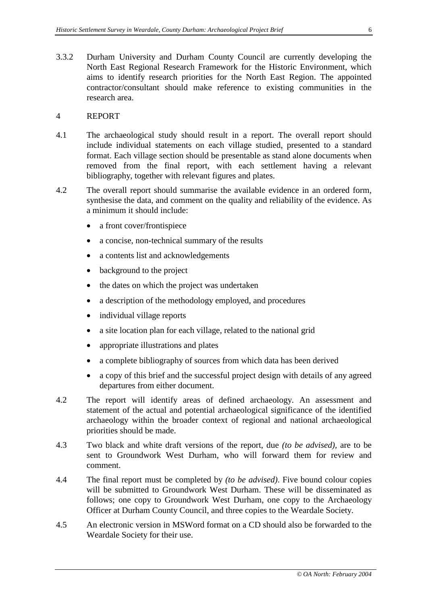3.3.2 Durham University and Durham County Council are currently developing the North East Regional Research Framework for the Historic Environment, which aims to identify research priorities for the North East Region. The appointed contractor/consultant should make reference to existing communities in the research area.

#### 4 REPORT

- 4.1 The archaeological study should result in a report. The overall report should include individual statements on each village studied, presented to a standard format. Each village section should be presentable as stand alone documents when removed from the final report, with each settlement having a relevant bibliography, together with relevant figures and plates.
- 4.2 The overall report should summarise the available evidence in an ordered form, synthesise the data, and comment on the quality and reliability of the evidence. As a minimum it should include:
	- a front cover/frontispiece
	- a concise, non-technical summary of the results
	- a contents list and acknowledgements
	- background to the project
	- the dates on which the project was undertaken
	- a description of the methodology employed, and procedures
	- individual village reports
	- a site location plan for each village, related to the national grid
	- appropriate illustrations and plates
	- a complete bibliography of sources from which data has been derived
	- a copy of this brief and the successful project design with details of any agreed departures from either document.
- 4.2 The report will identify areas of defined archaeology. An assessment and statement of the actual and potential archaeological significance of the identified archaeology within the broader context of regional and national archaeological priorities should be made.
- 4.3 Two black and white draft versions of the report, due *(to be advised),* are to be sent to Groundwork West Durham, who will forward them for review and comment.
- 4.4 The final report must be completed by *(to be advised)*. Five bound colour copies will be submitted to Groundwork West Durham. These will be disseminated as follows; one copy to Groundwork West Durham, one copy to the Archaeology Officer at Durham County Council, and three copies to the Weardale Society.
- 4.5 An electronic version in MSWord format on a CD should also be forwarded to the Weardale Society for their use.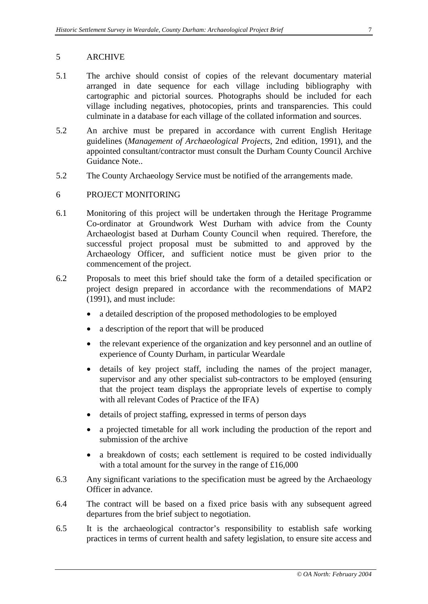### 5 ARCHIVE

- 5.1 The archive should consist of copies of the relevant documentary material arranged in date sequence for each village including bibliography with cartographic and pictorial sources. Photographs should be included for each village including negatives, photocopies, prints and transparencies. This could culminate in a database for each village of the collated information and sources.
- 5.2 An archive must be prepared in accordance with current English Heritage guidelines (*Management of Archaeological Projects*, 2nd edition, 1991), and the appointed consultant/contractor must consult the Durham County Council Archive Guidance Note..
- 5.2 The County Archaeology Service must be notified of the arrangements made.

### 6 PROJECT MONITORING

- 6.1 Monitoring of this project will be undertaken through the Heritage Programme Co-ordinator at Groundwork West Durham with advice from the County Archaeologist based at Durham County Council when required. Therefore, the successful project proposal must be submitted to and approved by the Archaeology Officer, and sufficient notice must be given prior to the commencement of the project.
- 6.2 Proposals to meet this brief should take the form of a detailed specification or project design prepared in accordance with the recommendations of MAP2 (1991), and must include:
	- a detailed description of the proposed methodologies to be employed
	- a description of the report that will be produced
	- the relevant experience of the organization and key personnel and an outline of experience of County Durham, in particular Weardale
	- details of key project staff, including the names of the project manager, supervisor and any other specialist sub-contractors to be employed (ensuring that the project team displays the appropriate levels of expertise to comply with all relevant Codes of Practice of the IFA)
	- details of project staffing, expressed in terms of person days
	- a projected timetable for all work including the production of the report and submission of the archive
	- a breakdown of costs; each settlement is required to be costed individually with a total amount for the survey in the range of £16,000
- 6.3 Any significant variations to the specification must be agreed by the Archaeology Officer in advance.
- 6.4 The contract will be based on a fixed price basis with any subsequent agreed departures from the brief subject to negotiation.
- 6.5 It is the archaeological contractor's responsibility to establish safe working practices in terms of current health and safety legislation, to ensure site access and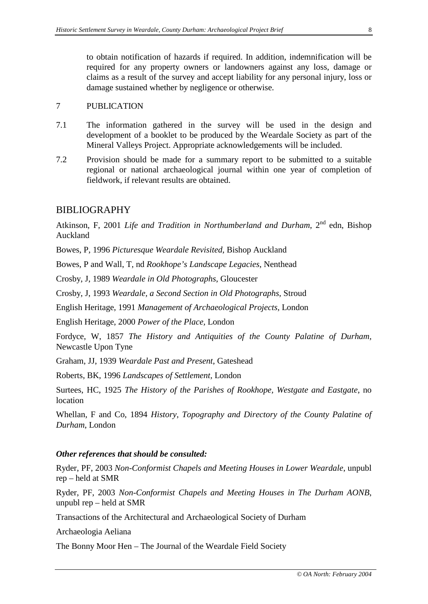to obtain notification of hazards if required. In addition, indemnification will be required for any property owners or landowners against any loss, damage or claims as a result of the survey and accept liability for any personal injury, loss or damage sustained whether by negligence or otherwise.

### 7 PUBLICATION

- 7.1 The information gathered in the survey will be used in the design and development of a booklet to be produced by the Weardale Society as part of the Mineral Valleys Project. Appropriate acknowledgements will be included.
- 7.2 Provision should be made for a summary report to be submitted to a suitable regional or national archaeological journal within one year of completion of fieldwork, if relevant results are obtained.

## BIBLIOGRAPHY

Atkinson, F, 2001 *Life and Tradition in Northumberland and Durham*, 2<sup>nd</sup> edn, Bishop Auckland

Bowes, P, 1996 *Picturesque Weardale Revisited*, Bishop Auckland

Bowes, P and Wall, T, nd *Rookhope's Landscape Legacies*, Nenthead

Crosby, J, 1989 *Weardale in Old Photographs*, Gloucester

Crosby, J, 1993 *Weardale, a Second Section in Old Photographs*, Stroud

English Heritage, 1991 *Management of Archaeological Projects,* London

English Heritage, 2000 *Power of the Place,* London

Fordyce, W, 1857 *The History and Antiquities of the County Palatine of Durham,*  Newcastle Upon Tyne

Graham, JJ, 1939 *Weardale Past and Present*, Gateshead

Roberts, BK, 1996 *Landscapes of Settlement,* London

Surtees, HC, 1925 *The History of the Parishes of Rookhope, Westgate and Eastgate*, no location

Whellan, F and Co, 1894 *History, Topography and Directory of the County Palatine of Durham*, London

### *Other references that should be consulted:*

Ryder, PF, 2003 *Non-Conformist Chapels and Meeting Houses in Lower Weardale*, unpubl rep – held at SMR

Ryder, PF, 2003 *Non-Conformist Chapels and Meeting Houses in The Durham AONB*, unpubl rep – held at SMR

Transactions of the Architectural and Archaeological Society of Durham

Archaeologia Aeliana

The Bonny Moor Hen – The Journal of the Weardale Field Society